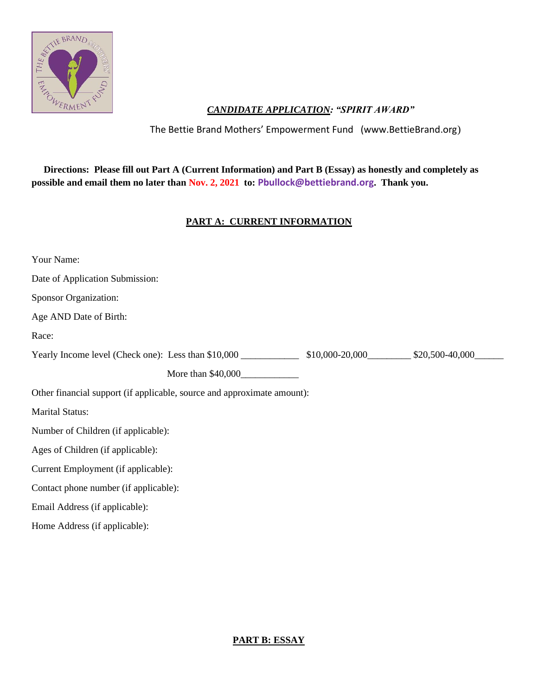

## *CANDIDATE APPLICATION: "SPIRIT AWARD"*

The Bettie Brand Mothers' Empowerment Fund (www.BettieBrand.org)

 **Directions: Please fill out Part A (Current Information) and Part B (Essay) as honestly and completely as possible and email them no later than Nov. 2, 2021 to: Pbullock@bettiebrand.org. Thank you.**

## **PART A: CURRENT INFORMATION**

| Your Name:                                                                         |                                  |  |
|------------------------------------------------------------------------------------|----------------------------------|--|
| Date of Application Submission:                                                    |                                  |  |
| Sponsor Organization:                                                              |                                  |  |
| Age AND Date of Birth:                                                             |                                  |  |
| Race:                                                                              |                                  |  |
| Yearly Income level (Check one): Less than \$10,000 ______________________________ | $$10,000-20,000$ \$20,500-40,000 |  |
| More than \$40,000                                                                 |                                  |  |
| Other financial support (if applicable, source and approximate amount):            |                                  |  |
| <b>Marital Status:</b>                                                             |                                  |  |
| Number of Children (if applicable):                                                |                                  |  |
| Ages of Children (if applicable):                                                  |                                  |  |
| Current Employment (if applicable):                                                |                                  |  |
| Contact phone number (if applicable):                                              |                                  |  |
| Email Address (if applicable):                                                     |                                  |  |
| Home Address (if applicable):                                                      |                                  |  |

## **PART B: ESSAY**